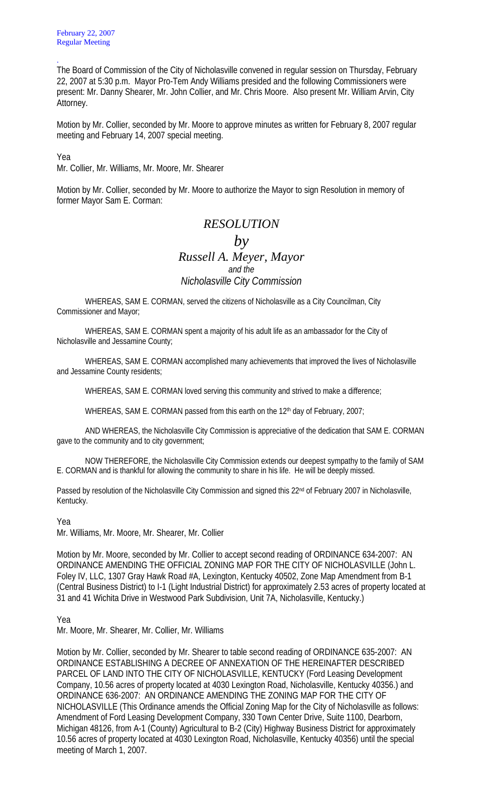The Board of Commission of the City of Nicholasville convened in regular session on Thursday, February 22, 2007 at 5:30 p.m. Mayor Pro-Tem Andy Williams presided and the following Commissioners were present: Mr. Danny Shearer, Mr. John Collier, and Mr. Chris Moore. Also present Mr. William Arvin, City Attorney.

Motion by Mr. Collier, seconded by Mr. Moore to approve minutes as written for February 8, 2007 regular meeting and February 14, 2007 special meeting.

Yea

.

Mr. Collier, Mr. Williams, Mr. Moore, Mr. Shearer

Motion by Mr. Collier, seconded by Mr. Moore to authorize the Mayor to sign Resolution in memory of former Mayor Sam E. Corman:

## *RESOLUTION*  $b\nu$ *Russell A. Meyer, Mayor and the Nicholasville City Commission*

WHEREAS, SAM E. CORMAN, served the citizens of Nicholasville as a City Councilman, City Commissioner and Mayor;

 WHEREAS, SAM E. CORMAN spent a majority of his adult life as an ambassador for the City of Nicholasville and Jessamine County;

 WHEREAS, SAM E. CORMAN accomplished many achievements that improved the lives of Nicholasville and Jessamine County residents;

WHEREAS, SAM E. CORMAN loved serving this community and strived to make a difference;

WHEREAS, SAM E. CORMAN passed from this earth on the 12<sup>th</sup> day of February, 2007;

 AND WHEREAS, the Nicholasville City Commission is appreciative of the dedication that SAM E. CORMAN gave to the community and to city government;

 NOW THEREFORE, the Nicholasville City Commission extends our deepest sympathy to the family of SAM E. CORMAN and is thankful for allowing the community to share in his life. He will be deeply missed.

Passed by resolution of the Nicholasville City Commission and signed this 22<sup>nd</sup> of February 2007 in Nicholasville, Kentucky.

Yea

Mr. Williams, Mr. Moore, Mr. Shearer, Mr. Collier

Motion by Mr. Moore, seconded by Mr. Collier to accept second reading of ORDINANCE 634-2007: AN ORDINANCE AMENDING THE OFFICIAL ZONING MAP FOR THE CITY OF NICHOLASVILLE (John L. Foley IV, LLC, 1307 Gray Hawk Road #A, Lexington, Kentucky 40502, Zone Map Amendment from B-1 (Central Business District) to I-1 (Light Industrial District) for approximately 2.53 acres of property located at 31 and 41 Wichita Drive in Westwood Park Subdivision, Unit 7A, Nicholasville, Kentucky.)

Yea

Mr. Moore, Mr. Shearer, Mr. Collier, Mr. Williams

Motion by Mr. Collier, seconded by Mr. Shearer to table second reading of ORDINANCE 635-2007: AN ORDINANCE ESTABLISHING A DECREE OF ANNEXATION OF THE HEREINAFTER DESCRIBED PARCEL OF LAND INTO THE CITY OF NICHOLASVILLE, KENTUCKY (Ford Leasing Development Company, 10.56 acres of property located at 4030 Lexington Road, Nicholasville, Kentucky 40356.) and ORDINANCE 636-2007: AN ORDINANCE AMENDING THE ZONING MAP FOR THE CITY OF NICHOLASVILLE (This Ordinance amends the Official Zoning Map for the City of Nicholasville as follows: Amendment of Ford Leasing Development Company, 330 Town Center Drive, Suite 1100, Dearborn, Michigan 48126, from A-1 (County) Agricultural to B-2 (City) Highway Business District for approximately 10.56 acres of property located at 4030 Lexington Road, Nicholasville, Kentucky 40356) until the special meeting of March 1, 2007.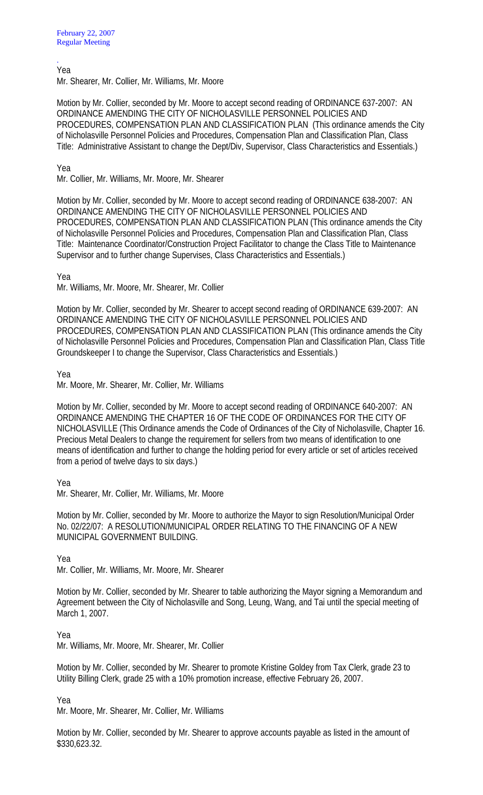. Yea

Mr. Shearer, Mr. Collier, Mr. Williams, Mr. Moore

Motion by Mr. Collier, seconded by Mr. Moore to accept second reading of ORDINANCE 637-2007: AN ORDINANCE AMENDING THE CITY OF NICHOLASVILLE PERSONNEL POLICIES AND PROCEDURES, COMPENSATION PLAN AND CLASSIFICATION PLAN (This ordinance amends the City of Nicholasville Personnel Policies and Procedures, Compensation Plan and Classification Plan, Class Title: Administrative Assistant to change the Dept/Div, Supervisor, Class Characteristics and Essentials.)

Yea

Mr. Collier, Mr. Williams, Mr. Moore, Mr. Shearer

Motion by Mr. Collier, seconded by Mr. Moore to accept second reading of ORDINANCE 638-2007: AN ORDINANCE AMENDING THE CITY OF NICHOLASVILLE PERSONNEL POLICIES AND PROCEDURES, COMPENSATION PLAN AND CLASSIFICATION PLAN (This ordinance amends the City of Nicholasville Personnel Policies and Procedures, Compensation Plan and Classification Plan, Class Title: Maintenance Coordinator/Construction Project Facilitator to change the Class Title to Maintenance Supervisor and to further change Supervises, Class Characteristics and Essentials.)

Yea

Mr. Williams, Mr. Moore, Mr. Shearer, Mr. Collier

Motion by Mr. Collier, seconded by Mr. Shearer to accept second reading of ORDINANCE 639-2007: AN ORDINANCE AMENDING THE CITY OF NICHOLASVILLE PERSONNEL POLICIES AND PROCEDURES, COMPENSATION PLAN AND CLASSIFICATION PLAN (This ordinance amends the City of Nicholasville Personnel Policies and Procedures, Compensation Plan and Classification Plan, Class Title Groundskeeper I to change the Supervisor, Class Characteristics and Essentials.)

Yea

Mr. Moore, Mr. Shearer, Mr. Collier, Mr. Williams

Motion by Mr. Collier, seconded by Mr. Moore to accept second reading of ORDINANCE 640-2007: AN ORDINANCE AMENDING THE CHAPTER 16 OF THE CODE OF ORDINANCES FOR THE CITY OF NICHOLASVILLE (This Ordinance amends the Code of Ordinances of the City of Nicholasville, Chapter 16. Precious Metal Dealers to change the requirement for sellers from two means of identification to one means of identification and further to change the holding period for every article or set of articles received from a period of twelve days to six days.)

Yea

Mr. Shearer, Mr. Collier, Mr. Williams, Mr. Moore

Motion by Mr. Collier, seconded by Mr. Moore to authorize the Mayor to sign Resolution/Municipal Order No. 02/22/07: A RESOLUTION/MUNICIPAL ORDER RELATING TO THE FINANCING OF A NEW MUNICIPAL GOVERNMENT BUILDING.

Yea

Mr. Collier, Mr. Williams, Mr. Moore, Mr. Shearer

Motion by Mr. Collier, seconded by Mr. Shearer to table authorizing the Mayor signing a Memorandum and Agreement between the City of Nicholasville and Song, Leung, Wang, and Tai until the special meeting of March 1, 2007.

Yea

Mr. Williams, Mr. Moore, Mr. Shearer, Mr. Collier

Motion by Mr. Collier, seconded by Mr. Shearer to promote Kristine Goldey from Tax Clerk, grade 23 to Utility Billing Clerk, grade 25 with a 10% promotion increase, effective February 26, 2007.

Yea

Mr. Moore, Mr. Shearer, Mr. Collier, Mr. Williams

Motion by Mr. Collier, seconded by Mr. Shearer to approve accounts payable as listed in the amount of \$330,623.32.